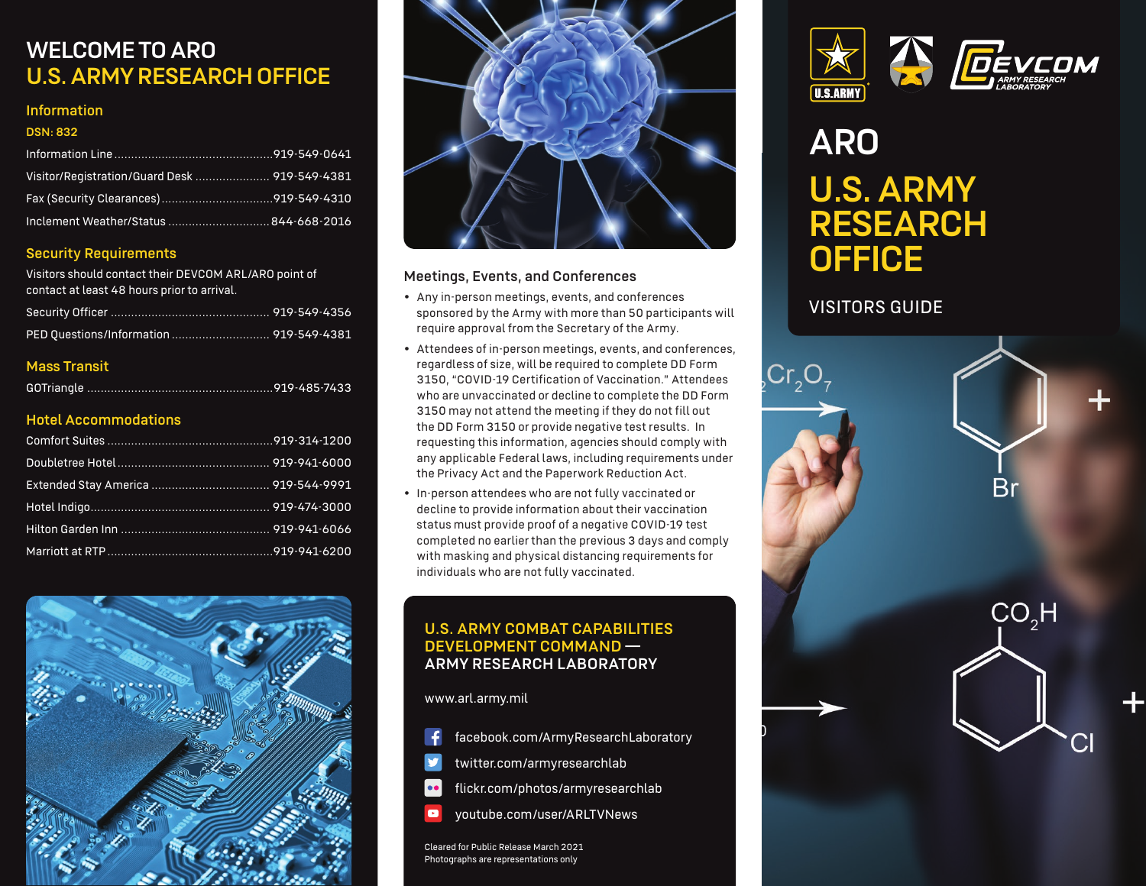### WELCOME TO ARO U.S. ARMY RESEARCH OFFICE

### Information

### DSN: 832

| Visitor/Registration/Guard Desk  919-549-4381 |  |
|-----------------------------------------------|--|
|                                               |  |
|                                               |  |

### Security Requirements

Visitors should contact their DEVCOM ARL/ARO point of contact at least 48 hours prior to arrival.

### Mass Transit

### Hotel Accommodations





### Meetings, Events, and Conferences

- Any in-person meetings, events, and conferences sponsored by the Army with more than 50 participants will require approval from the Secretary of the Army.
- Attendees of in-person meetings, events, and conferences, regardless of size, will be required to complete DD Form 3150, "COVID-19 Certification of Vaccination." Attendees who are unvaccinated or decline to complete the DD Form 3150 may not attend the meeting if they do not fill out the DD Form 3150 or provide negative test results. In requesting this information, agencies should comply with any applicable Federal laws, including requirements under the Privacy Act and the Paperwork Reduction Act.
- In-person attendees who are not fully vaccinated or decline to provide information about their vaccination status must provide proof of a negative COVID-19 test completed no earlier than the previous 3 days and comply with masking and physical distancing requirements for individuals who are not fully vaccinated.

### U.S. ARMY COMBAT CAPABILITIES DEVELOPMENT COMMAND — ARMY RESEARCH LABORATORY

www.arl.army.mil

- facebook.com/ArmyResearchLaboratory
- twitter.com/armyresearchlab
- flickr.com/photos/armyresearchlab  $\bullet\bullet$
- youtube.com/user/ARLTVNews  $\bullet$

Cleared for Public Release March 2021 Photographs are representations only





## ARO U.S. ARMY RESEARCH **OFFICE**

### VISITORS GUIDE